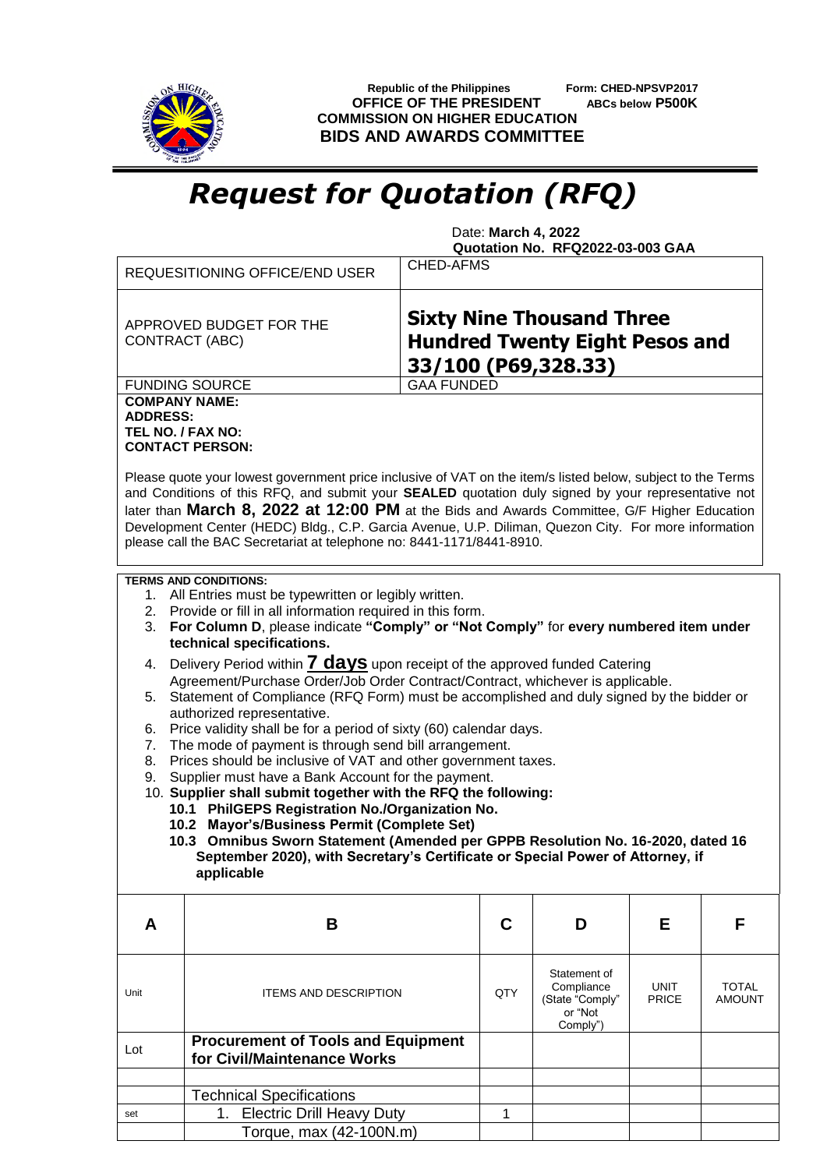

 **Republic of the Philippines Form: CHED-NPSVP2017 OFFICE OF THE PRESIDENT ABCs below P500K COMMISSION ON HIGHER EDUCATION BIDS AND AWARDS COMMITTEE**

## *Request for Quotation (RFQ)*

 Date: **March 4, 2022 Quotation No. RFQ2022-03-003 GAA**

|                                                                                                                                               | <b>CHED-AFMS</b><br><b>REQUESITIONING OFFICE/END USER</b>                                                                                                                                                                                                                                                                                                                                                                                                                                          |                   |                                                                      |                             |                               |  |  |  |  |
|-----------------------------------------------------------------------------------------------------------------------------------------------|----------------------------------------------------------------------------------------------------------------------------------------------------------------------------------------------------------------------------------------------------------------------------------------------------------------------------------------------------------------------------------------------------------------------------------------------------------------------------------------------------|-------------------|----------------------------------------------------------------------|-----------------------------|-------------------------------|--|--|--|--|
| <b>Sixty Nine Thousand Three</b><br>APPROVED BUDGET FOR THE<br><b>Hundred Twenty Eight Pesos and</b><br>CONTRACT (ABC)<br>33/100 (P69,328.33) |                                                                                                                                                                                                                                                                                                                                                                                                                                                                                                    |                   |                                                                      |                             |                               |  |  |  |  |
|                                                                                                                                               | <b>FUNDING SOURCE</b>                                                                                                                                                                                                                                                                                                                                                                                                                                                                              | <b>GAA FUNDED</b> |                                                                      |                             |                               |  |  |  |  |
| <b>COMPANY NAME:</b><br><b>ADDRESS:</b><br>TEL NO. / FAX NO:                                                                                  | <b>CONTACT PERSON:</b>                                                                                                                                                                                                                                                                                                                                                                                                                                                                             |                   |                                                                      |                             |                               |  |  |  |  |
|                                                                                                                                               | Please quote your lowest government price inclusive of VAT on the item/s listed below, subject to the Terms<br>and Conditions of this RFQ, and submit your SEALED quotation duly signed by your representative not<br>later than March 8, 2022 at 12:00 PM at the Bids and Awards Committee, G/F Higher Education<br>Development Center (HEDC) Bldg., C.P. Garcia Avenue, U.P. Diliman, Quezon City. For more information<br>please call the BAC Secretariat at telephone no: 8441-1171/8441-8910. |                   |                                                                      |                             |                               |  |  |  |  |
| 3.                                                                                                                                            | <b>TERMS AND CONDITIONS:</b><br>1. All Entries must be typewritten or legibly written.<br>2. Provide or fill in all information required in this form.<br>For Column D, please indicate "Comply" or "Not Comply" for every numbered item under<br>technical specifications.                                                                                                                                                                                                                        |                   |                                                                      |                             |                               |  |  |  |  |
| 4.                                                                                                                                            | Delivery Period within <b>7 days</b> upon receipt of the approved funded Catering                                                                                                                                                                                                                                                                                                                                                                                                                  |                   |                                                                      |                             |                               |  |  |  |  |
|                                                                                                                                               | Agreement/Purchase Order/Job Order Contract/Contract, whichever is applicable.                                                                                                                                                                                                                                                                                                                                                                                                                     |                   |                                                                      |                             |                               |  |  |  |  |
| 5.                                                                                                                                            | Statement of Compliance (RFQ Form) must be accomplished and duly signed by the bidder or                                                                                                                                                                                                                                                                                                                                                                                                           |                   |                                                                      |                             |                               |  |  |  |  |
|                                                                                                                                               | authorized representative.                                                                                                                                                                                                                                                                                                                                                                                                                                                                         |                   |                                                                      |                             |                               |  |  |  |  |
|                                                                                                                                               | Price validity shall be for a period of sixty (60) calendar days.<br>6.                                                                                                                                                                                                                                                                                                                                                                                                                            |                   |                                                                      |                             |                               |  |  |  |  |
| 8.                                                                                                                                            | The mode of payment is through send bill arrangement.<br>7.<br>Prices should be inclusive of VAT and other government taxes.                                                                                                                                                                                                                                                                                                                                                                       |                   |                                                                      |                             |                               |  |  |  |  |
| 9.                                                                                                                                            | Supplier must have a Bank Account for the payment.                                                                                                                                                                                                                                                                                                                                                                                                                                                 |                   |                                                                      |                             |                               |  |  |  |  |
|                                                                                                                                               | 10. Supplier shall submit together with the RFQ the following:                                                                                                                                                                                                                                                                                                                                                                                                                                     |                   |                                                                      |                             |                               |  |  |  |  |
|                                                                                                                                               | 10.1 PhilGEPS Registration No./Organization No.                                                                                                                                                                                                                                                                                                                                                                                                                                                    |                   |                                                                      |                             |                               |  |  |  |  |
|                                                                                                                                               | 10.2 Mayor's/Business Permit (Complete Set)                                                                                                                                                                                                                                                                                                                                                                                                                                                        |                   |                                                                      |                             |                               |  |  |  |  |
|                                                                                                                                               | 10.3 Omnibus Sworn Statement (Amended per GPPB Resolution No. 16-2020, dated 16                                                                                                                                                                                                                                                                                                                                                                                                                    |                   |                                                                      |                             |                               |  |  |  |  |
|                                                                                                                                               | September 2020), with Secretary's Certificate or Special Power of Attorney, if<br>applicable                                                                                                                                                                                                                                                                                                                                                                                                       |                   |                                                                      |                             |                               |  |  |  |  |
| A                                                                                                                                             | B                                                                                                                                                                                                                                                                                                                                                                                                                                                                                                  | C                 | D                                                                    | Е                           | F                             |  |  |  |  |
|                                                                                                                                               |                                                                                                                                                                                                                                                                                                                                                                                                                                                                                                    |                   |                                                                      |                             |                               |  |  |  |  |
| Unit                                                                                                                                          | <b>ITEMS AND DESCRIPTION</b>                                                                                                                                                                                                                                                                                                                                                                                                                                                                       | QTY               | Statement of<br>Compliance<br>(State "Comply"<br>or "Not<br>Comply") | <b>UNIT</b><br><b>PRICE</b> | <b>TOTAL</b><br><b>AMOUNT</b> |  |  |  |  |
| Lot                                                                                                                                           | <b>Procurement of Tools and Equipment</b><br>for Civil/Maintenance Works                                                                                                                                                                                                                                                                                                                                                                                                                           |                   |                                                                      |                             |                               |  |  |  |  |
|                                                                                                                                               |                                                                                                                                                                                                                                                                                                                                                                                                                                                                                                    |                   |                                                                      |                             |                               |  |  |  |  |
|                                                                                                                                               | <b>Technical Specifications</b>                                                                                                                                                                                                                                                                                                                                                                                                                                                                    |                   |                                                                      |                             |                               |  |  |  |  |
| set                                                                                                                                           | <b>Electric Drill Heavy Duty</b><br>1.                                                                                                                                                                                                                                                                                                                                                                                                                                                             | 1                 |                                                                      |                             |                               |  |  |  |  |
|                                                                                                                                               | Torque, max (42-100N.m)                                                                                                                                                                                                                                                                                                                                                                                                                                                                            |                   |                                                                      |                             |                               |  |  |  |  |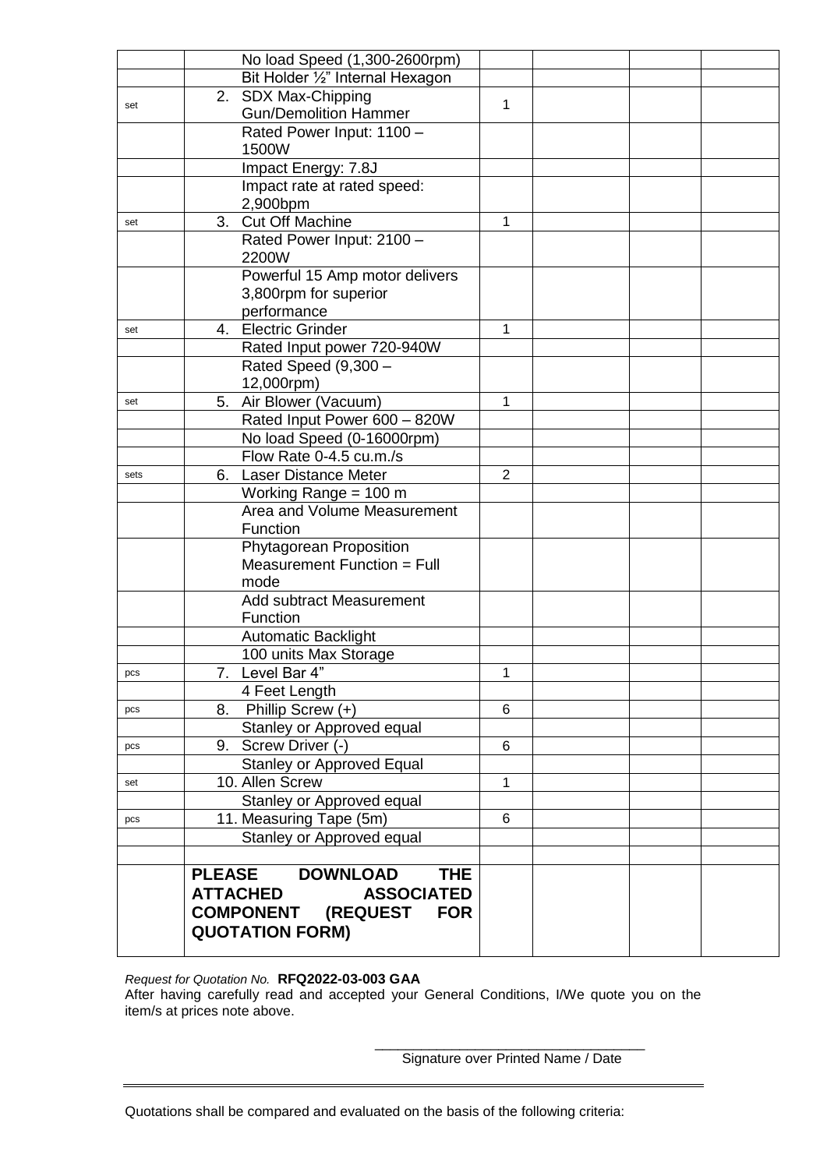|      | No load Speed (1,300-2600rpm)                             |       |  |  |
|------|-----------------------------------------------------------|-------|--|--|
|      | Bit Holder 1/2" Internal Hexagon                          |       |  |  |
|      | 2. SDX Max-Chipping                                       |       |  |  |
| set  | <b>Gun/Demolition Hammer</b>                              | 1     |  |  |
|      | Rated Power Input: 1100 -                                 |       |  |  |
|      | 1500W                                                     |       |  |  |
|      | Impact Energy: 7.8J                                       |       |  |  |
|      | Impact rate at rated speed:                               |       |  |  |
|      | 2,900bpm                                                  |       |  |  |
| set  | 3. Cut Off Machine                                        | 1     |  |  |
|      | Rated Power Input: 2100 -                                 |       |  |  |
|      | 2200W                                                     |       |  |  |
|      | Powerful 15 Amp motor delivers                            |       |  |  |
|      | 3,800rpm for superior                                     |       |  |  |
|      | performance                                               |       |  |  |
| set  | 4. Electric Grinder                                       | 1     |  |  |
|      | Rated Input power 720-940W                                |       |  |  |
|      | Rated Speed (9,300 -                                      |       |  |  |
|      | 12,000rpm)                                                |       |  |  |
| set  | Air Blower (Vacuum)<br>5.<br>Rated Input Power 600 - 820W | 1     |  |  |
|      | No load Speed (0-16000rpm)                                |       |  |  |
|      | Flow Rate 0-4.5 cu.m./s                                   |       |  |  |
|      | <b>Laser Distance Meter</b><br>6.                         | 2     |  |  |
| sets | Working Range = $100 \text{ m}$                           |       |  |  |
|      | Area and Volume Measurement                               |       |  |  |
|      | Function                                                  |       |  |  |
|      | Phytagorean Proposition                                   |       |  |  |
|      | Measurement Function = Full                               |       |  |  |
|      | mode                                                      |       |  |  |
|      | <b>Add subtract Measurement</b>                           |       |  |  |
|      | Function                                                  |       |  |  |
|      | Automatic Backlight                                       |       |  |  |
|      | 100 units Max Storage                                     |       |  |  |
| pcs  | 7. Level Bar 4"                                           | 1     |  |  |
|      | 4 Feet Length                                             |       |  |  |
| pcs  | 8. Phillip Screw (+)                                      | $\,6$ |  |  |
|      | Stanley or Approved equal                                 |       |  |  |
| pcs  | 9. Screw Driver (-)                                       | 6     |  |  |
|      | <b>Stanley or Approved Equal</b>                          |       |  |  |
| set  | 10. Allen Screw                                           | 1     |  |  |
|      | Stanley or Approved equal                                 |       |  |  |
| pcs  | 11. Measuring Tape (5m)                                   | 6     |  |  |
|      | Stanley or Approved equal                                 |       |  |  |
|      |                                                           |       |  |  |
|      | <b>PLEASE</b><br><b>DOWNLOAD</b><br><b>THE</b>            |       |  |  |
|      | <b>ATTACHED</b><br><b>ASSOCIATED</b>                      |       |  |  |
|      | <b>COMPONENT (REQUEST</b><br><b>FOR</b>                   |       |  |  |
|      | <b>QUOTATION FORM)</b>                                    |       |  |  |
|      |                                                           |       |  |  |

*Request for Quotation No.* **RFQ2022-03-003 GAA** After having carefully read and accepted your General Conditions, I/We quote you on the item/s at prices note above.

> \_\_\_\_\_\_\_\_\_\_\_\_\_\_\_\_\_\_\_\_\_\_\_\_\_\_\_\_\_\_\_\_\_\_\_ Signature over Printed Name / Date

Quotations shall be compared and evaluated on the basis of the following criteria: